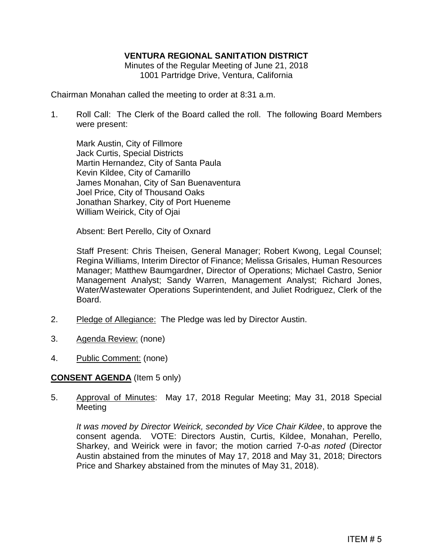# **VENTURA REGIONAL SANITATION DISTRICT**

Minutes of the Regular Meeting of June 21, 2018 1001 Partridge Drive, Ventura, California

Chairman Monahan called the meeting to order at 8:31 a.m.

1. Roll Call: The Clerk of the Board called the roll. The following Board Members were present:

Mark Austin, City of Fillmore Jack Curtis, Special Districts Martin Hernandez, City of Santa Paula Kevin Kildee, City of Camarillo James Monahan, City of San Buenaventura Joel Price, City of Thousand Oaks Jonathan Sharkey, City of Port Hueneme William Weirick, City of Ojai

Absent: Bert Perello, City of Oxnard

Staff Present: Chris Theisen, General Manager; Robert Kwong, Legal Counsel; Regina Williams, Interim Director of Finance; Melissa Grisales, Human Resources Manager; Matthew Baumgardner, Director of Operations; Michael Castro, Senior Management Analyst; Sandy Warren, Management Analyst; Richard Jones, Water/Wastewater Operations Superintendent, and Juliet Rodriguez, Clerk of the Board.

- 2. Pledge of Allegiance: The Pledge was led by Director Austin.
- 3. Agenda Review: (none)
- 4. Public Comment: (none)

## **CONSENT AGENDA** (Item 5 only)

5. Approval of Minutes: May 17, 2018 Regular Meeting; May 31, 2018 Special Meeting

*It was moved by Director Weirick, seconded by Vice Chair Kildee*, to approve the consent agenda. VOTE: Directors Austin, Curtis, Kildee, Monahan, Perello, Sharkey, and Weirick were in favor; the motion carried 7-0-*as noted* (Director Austin abstained from the minutes of May 17, 2018 and May 31, 2018; Directors Price and Sharkey abstained from the minutes of May 31, 2018).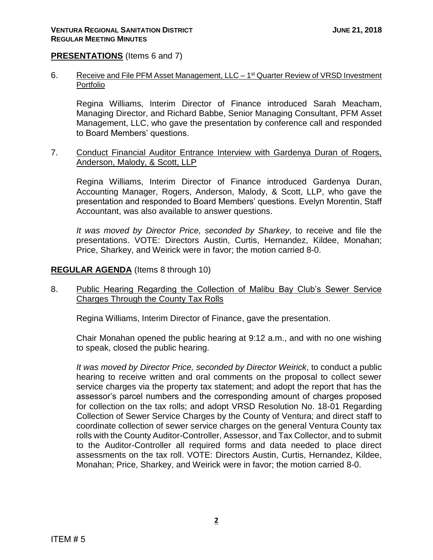### **PRESENTATIONS** (Items 6 and 7)

6. Receive and File PFM Asset Management, LLC – 1<sup>st</sup> Quarter Review of VRSD Investment Portfolio

Regina Williams, Interim Director of Finance introduced Sarah Meacham, Managing Director, and Richard Babbe, Senior Managing Consultant, PFM Asset Management, LLC, who gave the presentation by conference call and responded to Board Members' questions.

7. Conduct Financial Auditor Entrance Interview with Gardenya Duran of Rogers, Anderson, Malody, & Scott, LLP

Regina Williams, Interim Director of Finance introduced Gardenya Duran, Accounting Manager, Rogers, Anderson, Malody, & Scott, LLP, who gave the presentation and responded to Board Members' questions. Evelyn Morentin, Staff Accountant, was also available to answer questions.

*It was moved by Director Price, seconded by Sharkey*, to receive and file the presentations. VOTE: Directors Austin, Curtis, Hernandez, Kildee, Monahan; Price, Sharkey, and Weirick were in favor; the motion carried 8-0.

#### **REGULAR AGENDA** (Items 8 through 10)

8. Public Hearing Regarding the Collection of Malibu Bay Club's Sewer Service Charges Through the County Tax Rolls

Regina Williams, Interim Director of Finance, gave the presentation.

Chair Monahan opened the public hearing at 9:12 a.m., and with no one wishing to speak, closed the public hearing.

*It was moved by Director Price, seconded by Director Weirick*, to conduct a public hearing to receive written and oral comments on the proposal to collect sewer service charges via the property tax statement; and adopt the report that has the assessor's parcel numbers and the corresponding amount of charges proposed for collection on the tax rolls; and adopt VRSD Resolution No. 18-01 Regarding Collection of Sewer Service Charges by the County of Ventura; and direct staff to coordinate collection of sewer service charges on the general Ventura County tax rolls with the County Auditor-Controller, Assessor, and Tax Collector, and to submit to the Auditor-Controller all required forms and data needed to place direct assessments on the tax roll. VOTE: Directors Austin, Curtis, Hernandez, Kildee, Monahan; Price, Sharkey, and Weirick were in favor; the motion carried 8-0.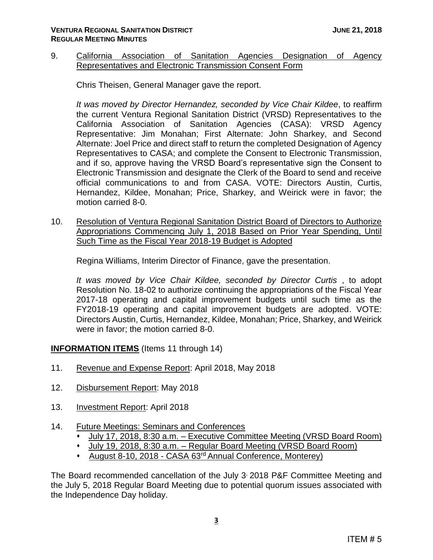9. California Association of Sanitation Agencies Designation of Agency Representatives and Electronic Transmission Consent Form

Chris Theisen, General Manager gave the report.

*It was moved by Director Hernandez, seconded by Vice Chair Kildee*, to reaffirm the current Ventura Regional Sanitation District (VRSD) Representatives to the California Association of Sanitation Agencies (CASA): VRSD Agency Representative: Jim Monahan; First Alternate: John Sharkey, and Second Alternate: Joel Price and direct staff to return the completed Designation of Agency Representatives to CASA; and complete the Consent to Electronic Transmission, and if so, approve having the VRSD Board's representative sign the Consent to Electronic Transmission and designate the Clerk of the Board to send and receive official communications to and from CASA. VOTE: Directors Austin, Curtis, Hernandez, Kildee, Monahan; Price, Sharkey, and Weirick were in favor; the motion carried 8-0.

10. Resolution of Ventura Regional Sanitation District Board of Directors to Authorize Appropriations Commencing July 1, 2018 Based on Prior Year Spending, Until Such Time as the Fiscal Year 2018-19 Budget is Adopted

Regina Williams, Interim Director of Finance, gave the presentation.

*It was moved by Vice Chair Kildee, seconded by Director Curtis* , to adopt Resolution No. 18-02 to authorize continuing the appropriations of the Fiscal Year 2017-18 operating and capital improvement budgets until such time as the FY2018-19 operating and capital improvement budgets are adopted. VOTE: Directors Austin, Curtis, Hernandez, Kildee, Monahan; Price, Sharkey, and Weirick were in favor; the motion carried 8-0.

**INFORMATION ITEMS** (Items 11 through 14)

- 11. Revenue and Expense Report: April 2018, May 2018
- 12. Disbursement Report: May 2018
- 13. Investment Report: April 2018
- 14. Future Meetings: Seminars and Conferences
	- July 17, 2018, 8:30 a.m. Executive Committee Meeting (VRSD Board Room)
	- July 19, 2018, 8:30 a.m. Regular Board Meeting (VRSD Board Room)
	- August 8-10, 2018 CASA 63rd Annual Conference, Monterey)

The Board recommended cancellation of the July 3, 2018 P&F Committee Meeting and the July 5, 2018 Regular Board Meeting due to potential quorum issues associated with the Independence Day holiday.